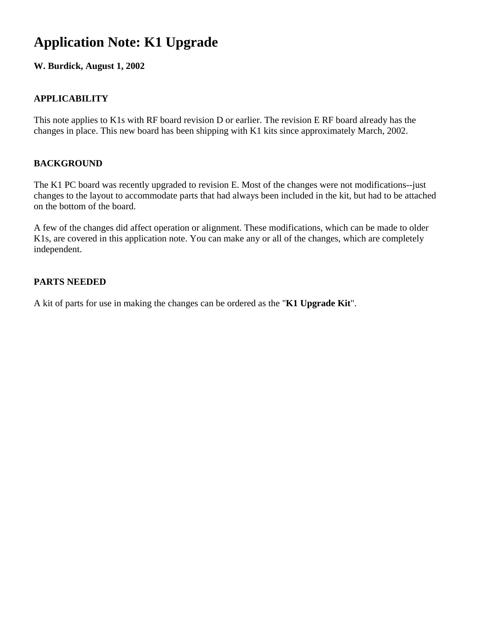# **Application Note: K1 Upgrade**

**W. Burdick, August 1, 2002**

### **APPLICABILITY**

This note applies to K1s with RF board revision D or earlier. The revision E RF board already has the changes in place. This new board has been shipping with K1 kits since approximately March, 2002.

#### **BACKGROUND**

The K1 PC board was recently upgraded to revision E. Most of the changes were not modifications--just changes to the layout to accommodate parts that had always been included in the kit, but had to be attached on the bottom of the board.

A few of the changes did affect operation or alignment. These modifications, which can be made to older K1s, are covered in this application note. You can make any or all of the changes, which are completely independent.

#### **PARTS NEEDED**

A kit of parts for use in making the changes can be ordered as the "**K1 Upgrade Kit**".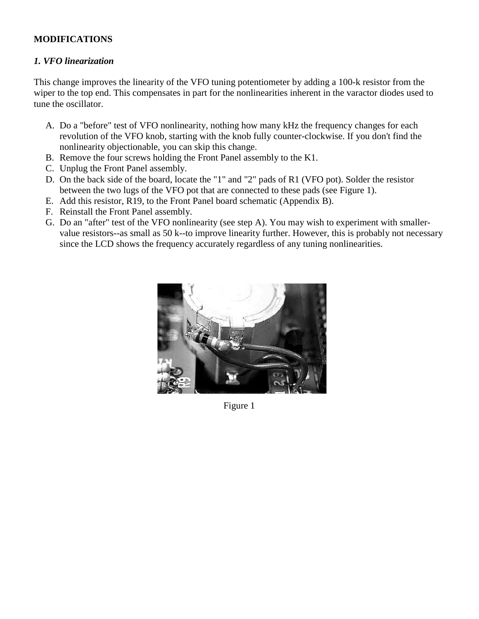#### **MODIFICATIONS**

#### *1. VFO linearization*

This change improves the linearity of the VFO tuning potentiometer by adding a 100-k resistor from the wiper to the top end. This compensates in part for the nonlinearities inherent in the varactor diodes used to tune the oscillator.

- A. Do a "before" test of VFO nonlinearity, nothing how many kHz the frequency changes for each revolution of the VFO knob, starting with the knob fully counter-clockwise. If you don't find the nonlinearity objectionable, you can skip this change.
- B. Remove the four screws holding the Front Panel assembly to the K1.
- C. Unplug the Front Panel assembly.
- D. On the back side of the board, locate the "1" and "2" pads of R1 (VFO pot). Solder the resistor between the two lugs of the VFO pot that are connected to these pads (see Figure 1).
- E. Add this resistor, R19, to the Front Panel board schematic (Appendix B).
- F. Reinstall the Front Panel assembly.
- G. Do an "after" test of the VFO nonlinearity (see step A). You may wish to experiment with smallervalue resistors--as small as 50 k--to improve linearity further. However, this is probably not necessary since the LCD shows the frequency accurately regardless of any tuning nonlinearities.



Figure 1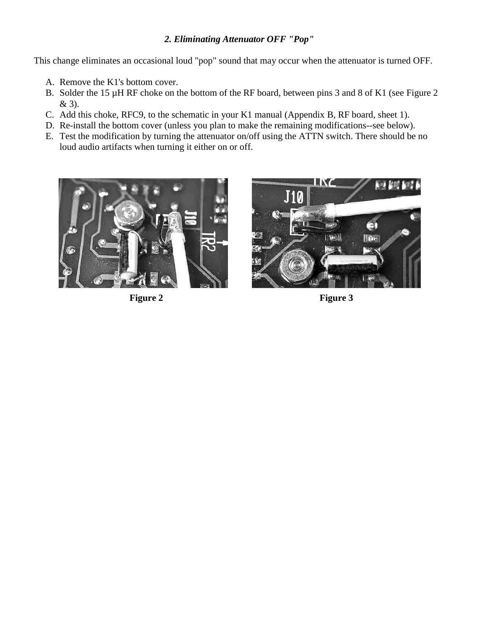#### *2. Eliminating Attenuator OFF "Pop"*

This change eliminates an occasional loud "pop" sound that may occur when the attenuator is turned OFF.

- A. Remove the K1's bottom cover.
- B. Solder the 15 µH RF choke on the bottom of the RF board, between pins 3 and 8 of K1 (see Figure 2) & 3).
- C. Add this choke, RFC9, to the schematic in your K1 manual (Appendix B, RF board, sheet 1).
- D. Re-install the bottom cover (unless you plan to make the remaining modifications--see below).
- E. Test the modification by turning the attenuator on/off using the ATTN switch. There should be no loud audio artifacts when turning it either on or off.





Figure 2 Figure 3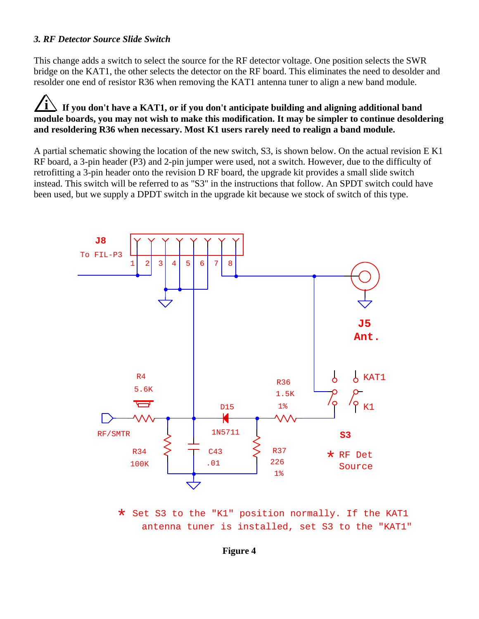#### *3. RF Detector Source Slide Switch*

This change adds a switch to select the source for the RF detector voltage. One position selects the SWR bridge on the KAT1, the other selects the detector on the RF board. This eliminates the need to desolder and resolder one end of resistor R36 when removing the KAT1 antenna tuner to align a new band module.

## **i If you don't have a KAT1, or if you don't anticipate building and aligning additional band module boards, you may not wish to make this modification. It may be simpler to continue desoldering and resoldering R36 when necessary. Most K1 users rarely need to realign a band module.**

A partial schematic showing the location of the new switch, S3, is shown below. On the actual revision E K1 RF board, a 3-pin header (P3) and 2-pin jumper were used, not a switch. However, due to the difficulty of retrofitting a 3-pin header onto the revision D RF board, the upgrade kit provides a small slide switch instead. This switch will be referred to as "S3" in the instructions that follow. An SPDT switch could have been used, but we supply a DPDT switch in the upgrade kit because we stock of switch of this type.



\* Set S3 to the "K1" position normally. If the KAT1<br>contenues in installed set S2 to the "KAT1 antenna tuner is installed, set S3 to the "KAT1"

#### **Figure 4**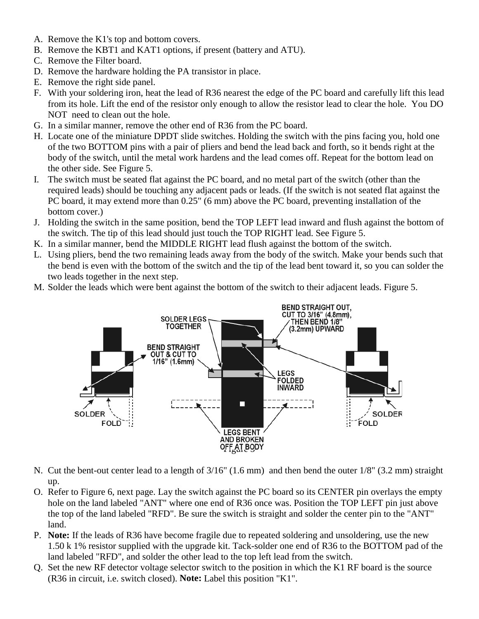- A. Remove the K1's top and bottom covers.
- B. Remove the KBT1 and KAT1 options, if present (battery and ATU).
- C. Remove the Filter board.
- D. Remove the hardware holding the PA transistor in place.
- E. Remove the right side panel.
- F. With your soldering iron, heat the lead of R36 nearest the edge of the PC board and carefully lift this lead from its hole. Lift the end of the resistor only enough to allow the resistor lead to clear the hole. You DO NOT need to clean out the hole.
- G. In a similar manner, remove the other end of R36 from the PC board.
- H. Locate one of the miniature DPDT slide switches. Holding the switch with the pins facing you, hold one of the two BOTTOM pins with a pair of pliers and bend the lead back and forth, so it bends right at the body of the switch, until the metal work hardens and the lead comes off. Repeat for the bottom lead on the other side. See Figure 5.
- I. The switch must be seated flat against the PC board, and no metal part of the switch (other than the required leads) should be touching any adjacent pads or leads. (If the switch is not seated flat against the PC board, it may extend more than 0.25" (6 mm) above the PC board, preventing installation of the bottom cover.)
- J. Holding the switch in the same position, bend the TOP LEFT lead inward and flush against the bottom of the switch. The tip of this lead should just touch the TOP RIGHT lead. See Figure 5.
- K. In a similar manner, bend the MIDDLE RIGHT lead flush against the bottom of the switch.
- L. Using pliers, bend the two remaining leads away from the body of the switch. Make your bends such that the bend is even with the bottom of the switch and the tip of the lead bent toward it, so you can solder the two leads together in the next step.
- M. Solder the leads which were bent against the bottom of the switch to their adjacent leads. Figure 5.



- N. Cut the bent-out center lead to a length of 3/16" (1.6 mm) and then bend the outer 1/8" (3.2 mm) straight up.
- O. Refer to Figure 6, next page. Lay the switch against the PC board so its CENTER pin overlays the empty hole on the land labeled "ANT" where one end of R36 once was. Position the TOP LEFT pin just above the top of the land labeled "RFD". Be sure the switch is straight and solder the center pin to the "ANT" land.
- P. **Note:** If the leads of R36 have become fragile due to repeated soldering and unsoldering, use the new 1.50 k 1% resistor supplied with the upgrade kit. Tack-solder one end of R36 to the BOTTOM pad of the land labeled "RFD", and solder the other lead to the top left lead from the switch.
- Q. Set the new RF detector voltage selector switch to the position in which the K1 RF board is the source (R36 in circuit, i.e. switch closed). **Note:** Label this position "K1".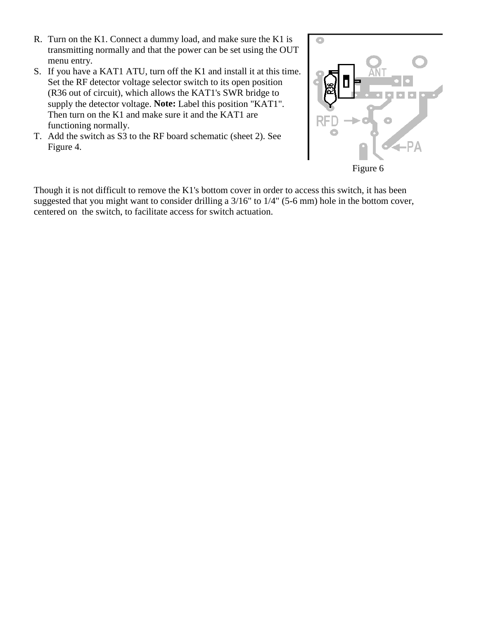- R. Turn on the K1. Connect a dummy load, and make sure the K1 is transmitting normally and that the power can be set using the OUT menu entry.
- S. If you have a KAT1 ATU, turn off the K1 and install it at this time. Set the RF detector voltage selector switch to its open position (R36 out of circuit), which allows the KAT1's SWR bridge to supply the detector voltage. **Note:** Label this position "KAT1". Then turn on the K1 and make sure it and the KAT1 are functioning normally.
- T. Add the switch as S3 to the RF board schematic (sheet 2). See Figure 4.



Though it is not difficult to remove the K1's bottom cover in order to access this switch, it has been suggested that you might want to consider drilling a 3/16" to 1/4" (5-6 mm) hole in the bottom cover, centered on the switch, to facilitate access for switch actuation.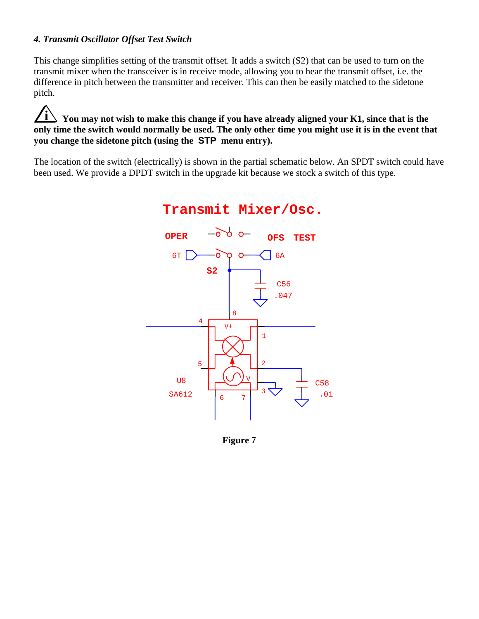#### *4. Transmit Oscillator Offset Test Switch*

This change simplifies setting of the transmit offset. It adds a switch (S2) that can be used to turn on the transmit mixer when the transceiver is in receive mode, allowing you to hear the transmit offset, i.e. the difference in pitch between the transmitter and receiver. This can then be easily matched to the sidetone pitch.

## $\angle i$  You may not wish to make this change if you have already aligned your K1, since that is the **only time the switch would normally be used. The only other time you might use it is in the event that you change the sidetone pitch (using the STP menu entry).**

The location of the switch (electrically) is shown in the partial schematic below. An SPDT switch could have been used. We provide a DPDT switch in the upgrade kit because we stock a switch of this type.



## **Transmit Mixer/Osc.**

**Figure 7**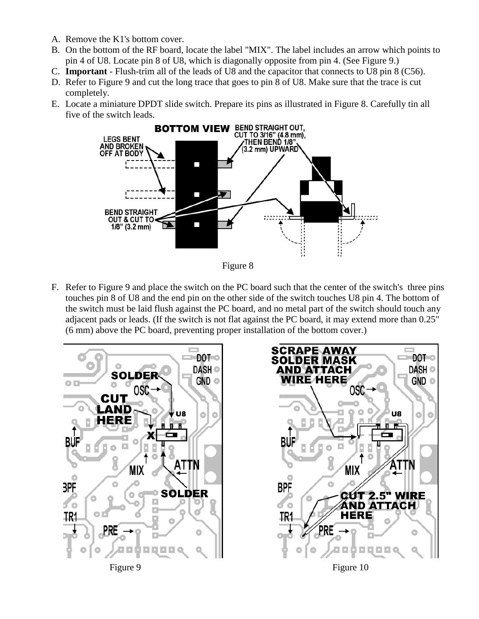- A. Remove the K1's bottom cover.
- B. On the bottom of the RF board, locate the label "MIX". The label includes an arrow which points to pin 4 of U8. Locate pin 8 of U8, which is diagonally opposite from pin 4. (See Figure 9.)
- C. **Important** Flush-trim all of the leads of U8 and the capacitor that connects to U8 pin 8 (C56).
- D. Refer to Figure 9 and cut the long trace that goes to pin 8 of U8. Make sure that the trace is cut completely.
- E. Locate a miniature DPDT slide switch. Prepare its pins as illustrated in Figure 8. Carefully tin all five of the switch leads.



Figure 8

F. Refer to Figure 9 and place the switch on the PC board such that the center of the switch's three pins touches pin 8 of U8 and the end pin on the other side of the switch touches U8 pin 4. The bottom of the switch must be laid flush against the PC board, and no metal part of the switch should touch any adjacent pads or leads. (If the switch is not flat against the PC board, it may extend more than 0.25" (6 mm) above the PC board, preventing proper installation of the bottom cover.)